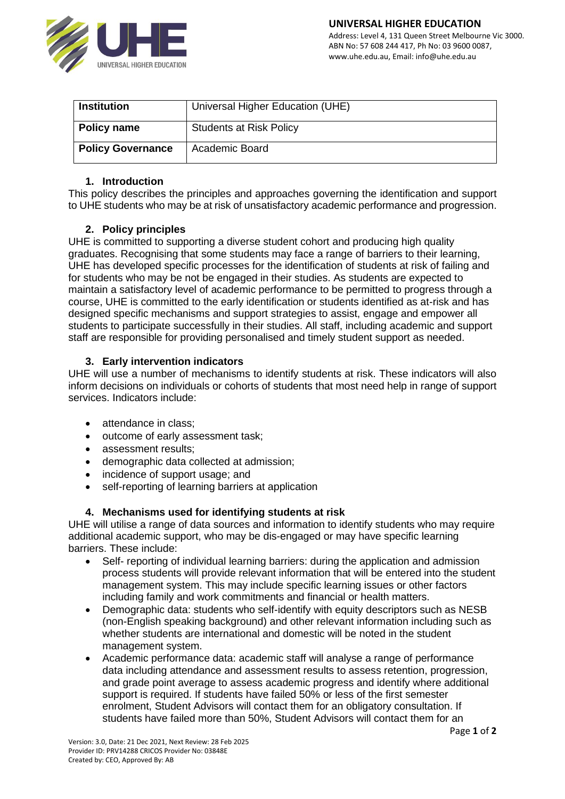

| <b>Institution</b>       | Universal Higher Education (UHE) |
|--------------------------|----------------------------------|
| <b>Policy name</b>       | <b>Students at Risk Policy</b>   |
| <b>Policy Governance</b> | Academic Board                   |

## **1. Introduction**

This policy describes the principles and approaches governing the identification and support to UHE students who may be at risk of unsatisfactory academic performance and progression.

# **2. Policy principles**

UHE is committed to supporting a diverse student cohort and producing high quality graduates. Recognising that some students may face a range of barriers to their learning, UHE has developed specific processes for the identification of students at risk of failing and for students who may be not be engaged in their studies. As students are expected to maintain a satisfactory level of academic performance to be permitted to progress through a course, UHE is committed to the early identification or students identified as at-risk and has designed specific mechanisms and support strategies to assist, engage and empower all students to participate successfully in their studies. All staff, including academic and support staff are responsible for providing personalised and timely student support as needed.

# **3. Early intervention indicators**

UHE will use a number of mechanisms to identify students at risk. These indicators will also inform decisions on individuals or cohorts of students that most need help in range of support services. Indicators include:

- attendance in class:
- outcome of early assessment task;
- assessment results;
- demographic data collected at admission;
- incidence of support usage; and
- self-reporting of learning barriers at application

# **4. Mechanisms used for identifying students at risk**

UHE will utilise a range of data sources and information to identify students who may require additional academic support, who may be dis-engaged or may have specific learning barriers. These include:

- Self- reporting of individual learning barriers: during the application and admission process students will provide relevant information that will be entered into the student management system. This may include specific learning issues or other factors including family and work commitments and financial or health matters.
- Demographic data: students who self-identify with equity descriptors such as NESB (non-English speaking background) and other relevant information including such as whether students are international and domestic will be noted in the student management system.
- Academic performance data: academic staff will analyse a range of performance data including attendance and assessment results to assess retention, progression, and grade point average to assess academic progress and identify where additional support is required. If students have failed 50% or less of the first semester enrolment, Student Advisors will contact them for an obligatory consultation. If students have failed more than 50%, Student Advisors will contact them for an